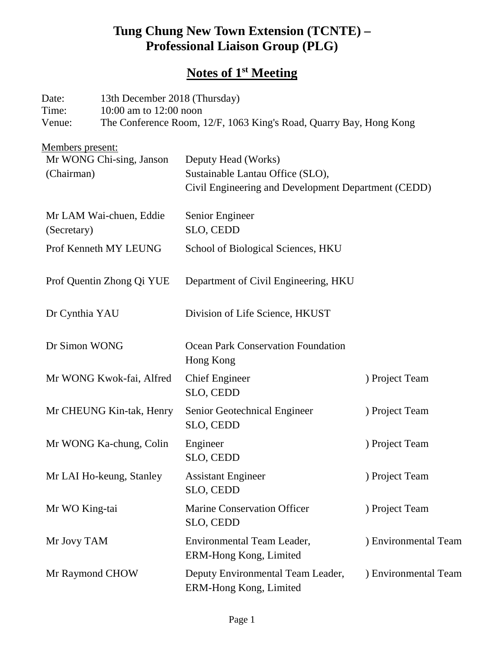## **Tung Chung New Town Extension (TCNTE) – Professional Liaison Group (PLG)**

# **Notes of 1st Meeting**

| Date:                                  | 13th December 2018 (Thursday) |                                                                                              |                      |  |
|----------------------------------------|-------------------------------|----------------------------------------------------------------------------------------------|----------------------|--|
| Time:<br>Venue:                        |                               | 10:00 am to 12:00 noon<br>The Conference Room, 12/F, 1063 King's Road, Quarry Bay, Hong Kong |                      |  |
| Members present:                       |                               |                                                                                              |                      |  |
| Mr WONG Chi-sing, Janson               |                               | Deputy Head (Works)                                                                          |                      |  |
| (Chairman)                             |                               | Sustainable Lantau Office (SLO),                                                             |                      |  |
|                                        |                               | Civil Engineering and Development Department (CEDD)                                          |                      |  |
| Mr LAM Wai-chuen, Eddie<br>(Secretary) |                               | Senior Engineer                                                                              |                      |  |
|                                        |                               | SLO, CEDD                                                                                    |                      |  |
| Prof Kenneth MY LEUNG                  |                               | School of Biological Sciences, HKU                                                           |                      |  |
| Prof Quentin Zhong Qi YUE              |                               | Department of Civil Engineering, HKU                                                         |                      |  |
| Dr Cynthia YAU                         |                               | Division of Life Science, HKUST                                                              |                      |  |
| Dr Simon WONG                          |                               | <b>Ocean Park Conservation Foundation</b>                                                    |                      |  |
|                                        |                               | Hong Kong                                                                                    |                      |  |
| Mr WONG Kwok-fai, Alfred               |                               | <b>Chief Engineer</b><br>SLO, CEDD                                                           | ) Project Team       |  |
| Mr CHEUNG Kin-tak, Henry               |                               | Senior Geotechnical Engineer                                                                 | ) Project Team       |  |
|                                        |                               | SLO, CEDD                                                                                    |                      |  |
| Mr WONG Ka-chung, Colin                |                               | Engineer                                                                                     | ) Project Team       |  |
|                                        |                               | SLO, CEDD                                                                                    |                      |  |
| Mr LAI Ho-keung, Stanley               |                               | <b>Assistant Engineer</b>                                                                    | ) Project Team       |  |
|                                        |                               | SLO, CEDD                                                                                    |                      |  |
| Mr WO King-tai                         |                               | <b>Marine Conservation Officer</b>                                                           | ) Project Team       |  |
|                                        |                               | SLO, CEDD                                                                                    |                      |  |
| Mr Jovy TAM                            |                               | Environmental Team Leader,                                                                   | ) Environmental Team |  |
|                                        |                               | ERM-Hong Kong, Limited                                                                       |                      |  |
| Mr Raymond CHOW                        |                               | Deputy Environmental Team Leader,<br>ERM-Hong Kong, Limited                                  | ) Environmental Team |  |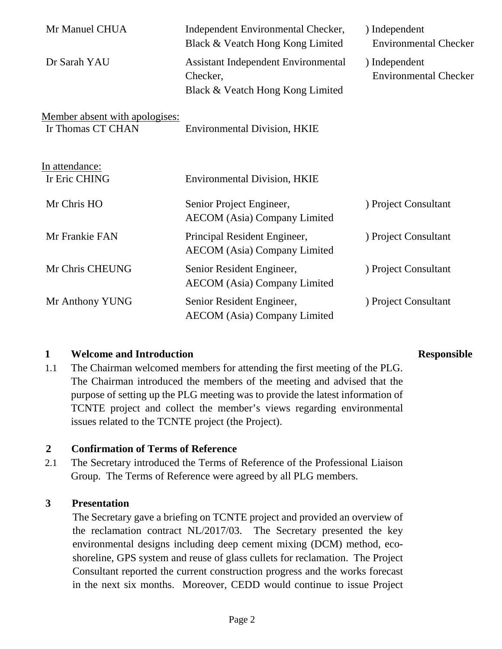| Mr Manuel CHUA                                      | Independent Environmental Checker,<br>Black & Veatch Hong Kong Limited                     | ) Independent<br><b>Environmental Checker</b> |
|-----------------------------------------------------|--------------------------------------------------------------------------------------------|-----------------------------------------------|
| Dr Sarah YAU                                        | <b>Assistant Independent Environmental</b><br>Checker,<br>Black & Veatch Hong Kong Limited | ) Independent<br><b>Environmental Checker</b> |
| Member absent with apologises:<br>Ir Thomas CT CHAN | <b>Environmental Division, HKIE</b>                                                        |                                               |
| In attendance:<br>Ir Eric CHING                     | <b>Environmental Division, HKIE</b>                                                        |                                               |
| Mr Chris HO                                         | Senior Project Engineer,<br><b>AECOM</b> (Asia) Company Limited                            | ) Project Consultant                          |
| Mr Frankie FAN                                      | Principal Resident Engineer,<br><b>AECOM</b> (Asia) Company Limited                        | ) Project Consultant                          |
| Mr Chris CHEUNG                                     | Senior Resident Engineer,<br><b>AECOM</b> (Asia) Company Limited                           | ) Project Consultant                          |
| Mr Anthony YUNG                                     | Senior Resident Engineer,<br><b>AECOM</b> (Asia) Company Limited                           | ) Project Consultant                          |

### **1 Welcome and Introduction Responsible**

1.1 The Chairman welcomed members for attending the first meeting of the PLG. The Chairman introduced the members of the meeting and advised that the purpose of setting up the PLG meeting was to provide the latest information of TCNTE project and collect the member's views regarding environmental issues related to the TCNTE project (the Project).

### **2 Confirmation of Terms of Reference**

2.1 The Secretary introduced the Terms of Reference of the Professional Liaison Group. The Terms of Reference were agreed by all PLG members.

### **3 Presentation**

The Secretary gave a briefing on TCNTE project and provided an overview of the reclamation contract NL/2017/03. The Secretary presented the key environmental designs including deep cement mixing (DCM) method, ecoshoreline, GPS system and reuse of glass cullets for reclamation. The Project Consultant reported the current construction progress and the works forecast in the next six months. Moreover, CEDD would continue to issue Project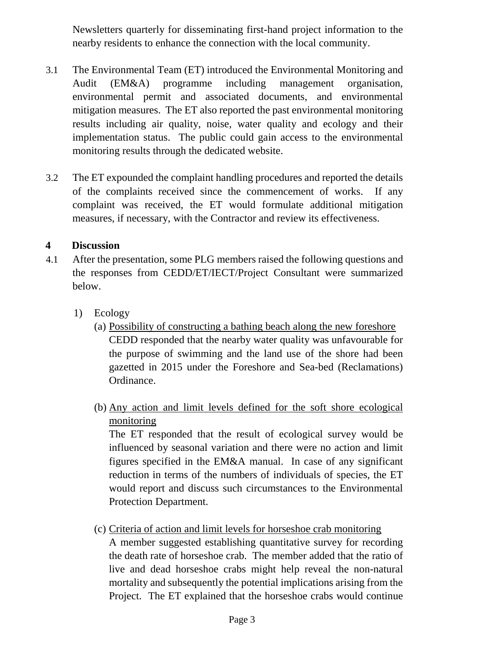Newsletters quarterly for disseminating first-hand project information to the nearby residents to enhance the connection with the local community.

- 3.1 The Environmental Team (ET) introduced the Environmental Monitoring and Audit (EM&A) programme including management organisation, environmental permit and associated documents, and environmental mitigation measures. The ET also reported the past environmental monitoring results including air quality, noise, water quality and ecology and their implementation status. The public could gain access to the environmental monitoring results through the dedicated website.
- 3.2 The ET expounded the complaint handling procedures and reported the details of the complaints received since the commencement of works. If any complaint was received, the ET would formulate additional mitigation measures, if necessary, with the Contractor and review its effectiveness.

### **4 Discussion**

- 4.1 After the presentation, some PLG members raised the following questions and the responses from CEDD/ET/IECT/Project Consultant were summarized below.
	- 1) Ecology
		- (a) Possibility of constructing a bathing beach along the new foreshore CEDD responded that the nearby water quality was unfavourable for the purpose of swimming and the land use of the shore had been gazetted in 2015 under the Foreshore and Sea-bed (Reclamations) Ordinance.
		- (b) Any action and limit levels defined for the soft shore ecological monitoring

The ET responded that the result of ecological survey would be influenced by seasonal variation and there were no action and limit figures specified in the EM&A manual. In case of any significant reduction in terms of the numbers of individuals of species, the ET would report and discuss such circumstances to the Environmental Protection Department.

(c) Criteria of action and limit levels for horseshoe crab monitoring

A member suggested establishing quantitative survey for recording the death rate of horseshoe crab. The member added that the ratio of live and dead horseshoe crabs might help reveal the non-natural mortality and subsequently the potential implications arising from the Project. The ET explained that the horseshoe crabs would continue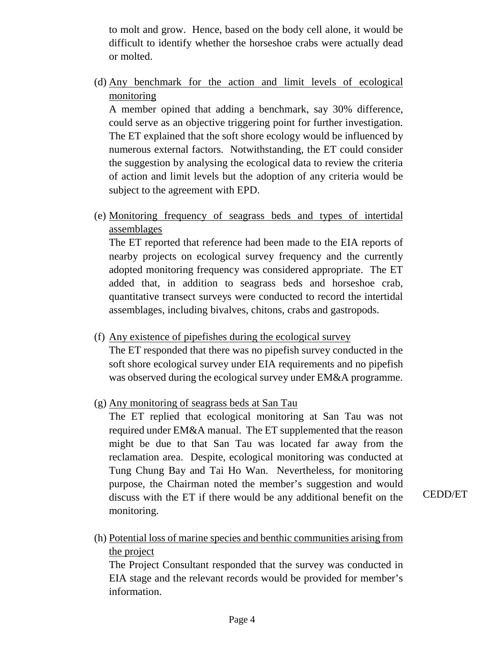to molt and grow. Hence, based on the body cell alone, it would be difficult to identify whether the horseshoe crabs were actually dead or molted.

(d) Any benchmark for the action and limit levels of ecological monitoring

A member opined that adding a benchmark, say 30% difference, could serve as an objective triggering point for further investigation. The ET explained that the soft shore ecology would be influenced by numerous external factors. Notwithstanding, the ET could consider the suggestion by analysing the ecological data to review the criteria of action and limit levels but the adoption of any criteria would be subject to the agreement with EPD.

(e) Monitoring frequency of seagrass beds and types of intertidal assemblages

The ET reported that reference had been made to the EIA reports of nearby projects on ecological survey frequency and the currently adopted monitoring frequency was considered appropriate. The ET added that, in addition to seagrass beds and horseshoe crab, quantitative transect surveys were conducted to record the intertidal assemblages, including bivalves, chitons, crabs and gastropods.

(f) Any existence of pipefishes during the ecological survey

The ET responded that there was no pipefish survey conducted in the soft shore ecological survey under EIA requirements and no pipefish was observed during the ecological survey under EM&A programme.

(g) Any monitoring of seagrass beds at San Tau

The ET replied that ecological monitoring at San Tau was not required under EM&A manual. The ET supplemented that the reason might be due to that San Tau was located far away from the reclamation area. Despite, ecological monitoring was conducted at Tung Chung Bay and Tai Ho Wan. Nevertheless, for monitoring purpose, the Chairman noted the member's suggestion and would discuss with the ET if there would be any additional benefit on the monitoring.

CEDD/ET

(h) Potential loss of marine species and benthic communities arising from the project

The Project Consultant responded that the survey was conducted in EIA stage and the relevant records would be provided for member's information.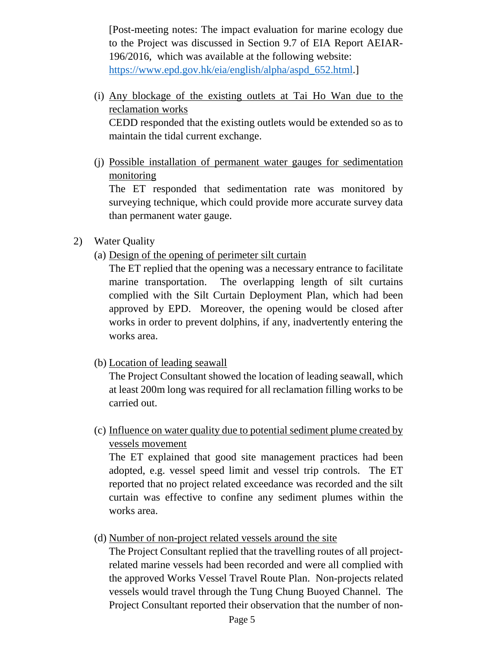[Post-meeting notes: The impact evaluation for marine ecology due to the Project was discussed in Section 9.7 of EIA Report AEIAR-196/2016, which was available at the following website: [https://www.epd.gov.hk/eia/english/alpha/aspd\\_652.html.](https://www.epd.gov.hk/eia/english/alpha/aspd_652.html)]

(i) Any blockage of the existing outlets at Tai Ho Wan due to the reclamation works CEDD responded that the existing outlets would be extended so as to

maintain the tidal current exchange.

(j) Possible installation of permanent water gauges for sedimentation monitoring

The ET responded that sedimentation rate was monitored by surveying technique, which could provide more accurate survey data than permanent water gauge.

- 2) Water Quality
	- (a) Design of the opening of perimeter silt curtain

The ET replied that the opening was a necessary entrance to facilitate marine transportation. The overlapping length of silt curtains complied with the Silt Curtain Deployment Plan, which had been approved by EPD. Moreover, the opening would be closed after works in order to prevent dolphins, if any, inadvertently entering the works area.

(b) Location of leading seawall

The Project Consultant showed the location of leading seawall, which at least 200m long was required for all reclamation filling works to be carried out.

(c) Influence on water quality due to potential sediment plume created by vessels movement

The ET explained that good site management practices had been adopted, e.g. vessel speed limit and vessel trip controls. The ET reported that no project related exceedance was recorded and the silt curtain was effective to confine any sediment plumes within the works area.

(d) Number of non-project related vessels around the site

The Project Consultant replied that the travelling routes of all projectrelated marine vessels had been recorded and were all complied with the approved Works Vessel Travel Route Plan. Non-projects related vessels would travel through the Tung Chung Buoyed Channel. The Project Consultant reported their observation that the number of non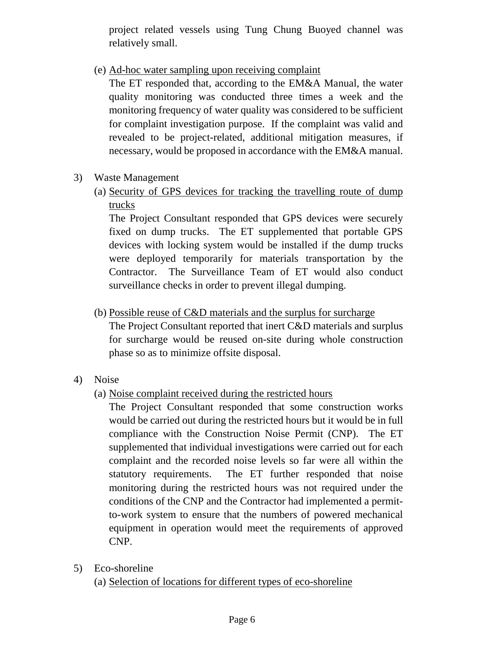project related vessels using Tung Chung Buoyed channel was relatively small.

(e) Ad-hoc water sampling upon receiving complaint

The ET responded that, according to the EM&A Manual, the water quality monitoring was conducted three times a week and the monitoring frequency of water quality was considered to be sufficient for complaint investigation purpose. If the complaint was valid and revealed to be project-related, additional mitigation measures, if necessary, would be proposed in accordance with the EM&A manual.

- 3) Waste Management
	- (a) Security of GPS devices for tracking the travelling route of dump trucks

The Project Consultant responded that GPS devices were securely fixed on dump trucks. The ET supplemented that portable GPS devices with locking system would be installed if the dump trucks were deployed temporarily for materials transportation by the Contractor. The Surveillance Team of ET would also conduct surveillance checks in order to prevent illegal dumping.

(b) Possible reuse of C&D materials and the surplus for surcharge

The Project Consultant reported that inert C&D materials and surplus for surcharge would be reused on-site during whole construction phase so as to minimize offsite disposal.

- 4) Noise
	- (a) Noise complaint received during the restricted hours

The Project Consultant responded that some construction works would be carried out during the restricted hours but it would be in full compliance with the Construction Noise Permit (CNP). The ET supplemented that individual investigations were carried out for each complaint and the recorded noise levels so far were all within the statutory requirements. The ET further responded that noise monitoring during the restricted hours was not required under the conditions of the CNP and the Contractor had implemented a permitto-work system to ensure that the numbers of powered mechanical equipment in operation would meet the requirements of approved CNP.

5) Eco-shoreline (a) Selection of locations for different types of eco-shoreline